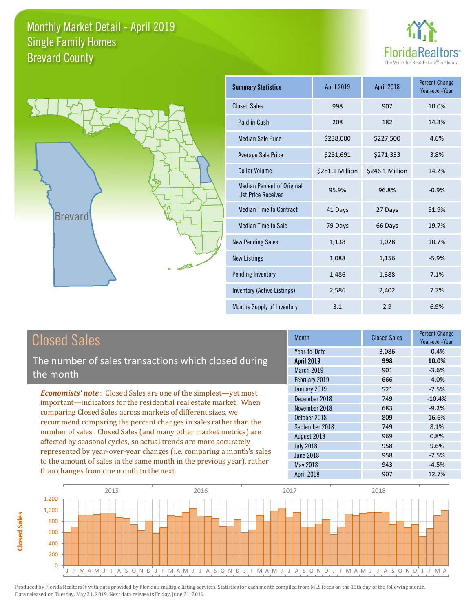



| Summary Statistics                                              | April 2019      | April 2018      | <b>Percent Change</b><br>Year-over-Year |
|-----------------------------------------------------------------|-----------------|-----------------|-----------------------------------------|
| <b>Closed Sales</b>                                             | 998             | 907             | 10.0%                                   |
| Paid in Cash                                                    | 208             | 182             | 14.3%                                   |
| <b>Median Sale Price</b>                                        | \$238,000       | \$227,500       | 4.6%                                    |
| Average Sale Price                                              | \$281,691       | \$271,333       | 3.8%                                    |
| Dollar Volume                                                   | \$281.1 Million | \$246.1 Million | 14.2%                                   |
| <b>Median Percent of Original</b><br><b>List Price Received</b> | 95.9%           | 96.8%           | $-0.9%$                                 |
| <b>Median Time to Contract</b>                                  | 41 Days         | 27 Days         | 51.9%                                   |
| <b>Median Time to Sale</b>                                      | 79 Days         | 66 Days         | 19.7%                                   |
| <b>New Pending Sales</b>                                        | 1,138           | 1,028           | 10.7%                                   |
| <b>New Listings</b>                                             | 1,088           | 1,156           | $-5.9%$                                 |
| Pending Inventory                                               | 1,486           | 1,388           | 7.1%                                    |
| Inventory (Active Listings)                                     | 2,586           | 2,402           | 7.7%                                    |
| Months Supply of Inventory                                      | 3.1             | 2.9             | 6.9%                                    |

# Closed Sales

The number of sales transactions which closed during the month

*Economists' note* : Closed Sales are one of the simplest—yet most important—indicators for the residential real estate market. When comparing Closed Sales across markets of different sizes, we recommend comparing the percent changes in sales rather than the number of sales. Closed Sales (and many other market metrics) are affected by seasonal cycles, so actual trends are more accurately represented by year-over-year changes (i.e. comparing a month's sales to the amount of sales in the same month in the previous year), rather than changes from one month to the next.

| <b>Month</b>      | <b>Closed Sales</b> | <b>Percent Change</b><br>Year-over-Year |
|-------------------|---------------------|-----------------------------------------|
| Year-to-Date      | 3,086               | $-0.4%$                                 |
| <b>April 2019</b> | 998                 | 10.0%                                   |
| March 2019        | 901                 | $-3.6%$                                 |
| February 2019     | 666                 | $-4.0%$                                 |
| January 2019      | 521                 | $-7.5%$                                 |
| December 2018     | 749                 | $-10.4%$                                |
| November 2018     | 683                 | $-9.2%$                                 |
| October 2018      | 809                 | 16.6%                                   |
| September 2018    | 749                 | 8.1%                                    |
| August 2018       | 969                 | 0.8%                                    |
| <b>July 2018</b>  | 958                 | 9.6%                                    |
| <b>June 2018</b>  | 958                 | $-7.5%$                                 |
| <b>May 2018</b>   | 943                 | $-4.5%$                                 |
| April 2018        | 907                 | 12.7%                                   |

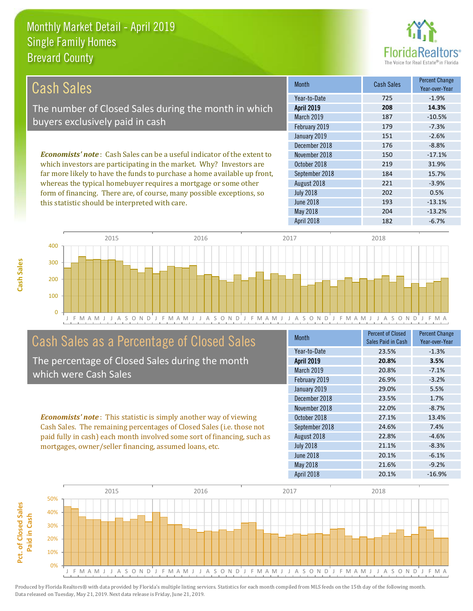this statistic should be interpreted with care.



193 -13.1%

| Cash Sales                                                                      | <b>Month</b>      | Cash Sales | <b>Percent Change</b><br>Year-over-Year |
|---------------------------------------------------------------------------------|-------------------|------------|-----------------------------------------|
|                                                                                 | Year-to-Date      | 725        | $-1.9%$                                 |
| The number of Closed Sales during the month in which                            | <b>April 2019</b> | 208        | 14.3%                                   |
| buyers exclusively paid in cash                                                 | <b>March 2019</b> | 187        | $-10.5%$                                |
|                                                                                 | February 2019     | 179        | $-7.3%$                                 |
|                                                                                 | January 2019      | 151        | $-2.6%$                                 |
|                                                                                 | December 2018     | 176        | $-8.8%$                                 |
| <b>Economists' note</b> : Cash Sales can be a useful indicator of the extent to | November 2018     | 150        | $-17.1%$                                |
| which investors are participating in the market. Why? Investors are             | October 2018      | 219        | 31.9%                                   |
| far more likely to have the funds to purchase a home available up front,        | September 2018    | 184        | 15.7%                                   |
| whereas the typical homebuyer requires a mortgage or some other                 | August 2018       | 221        | $-3.9%$                                 |
| form of financing. There are, of course, many possible exceptions, so           | <b>July 2018</b>  | 202        | 0.5%                                    |



# Cash Sales as a Percentage of Closed Sales

The percentage of Closed Sales during the month which were Cash Sales

*Economists' note* : This statistic is simply another way of viewing Cash Sales. The remaining percentages of Closed Sales (i.e. those not paid fully in cash) each month involved some sort of financing, such as mortgages, owner/seller financing, assumed loans, etc.

| <b>Month</b>      | <b>Percent of Closed</b><br>Sales Paid in Cash | <b>Percent Change</b><br>Year-over-Year |
|-------------------|------------------------------------------------|-----------------------------------------|
| Year-to-Date      | 23.5%                                          | $-1.3%$                                 |
| <b>April 2019</b> | 20.8%                                          | 3.5%                                    |
| March 2019        | 20.8%                                          | $-7.1%$                                 |
| February 2019     | 26.9%                                          | $-3.2%$                                 |
| January 2019      | 29.0%                                          | 5.5%                                    |
| December 2018     | 23.5%                                          | 1.7%                                    |
| November 2018     | 22.0%                                          | $-8.7%$                                 |
| October 2018      | 27.1%                                          | 13.4%                                   |
| September 2018    | 24.6%                                          | 7.4%                                    |
| August 2018       | 22.8%                                          | $-4.6%$                                 |
| <b>July 2018</b>  | 21.1%                                          | $-8.3%$                                 |
| <b>June 2018</b>  | 20.1%                                          | $-6.1%$                                 |
| May 2018          | 21.6%                                          | $-9.2%$                                 |
| <b>April 2018</b> | 20.1%                                          | $-16.9%$                                |

April 2018 182 -6.7%

May 2018 204 -13.2%

June 2018

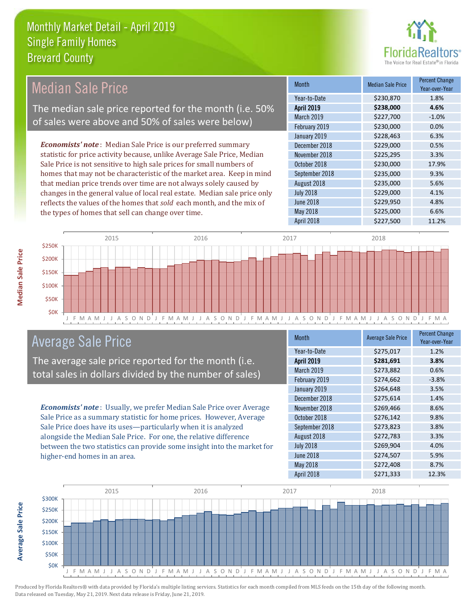

| <b>Median Sale Price</b><br>\$230,870<br>Year-to-Date<br>The median sale price reported for the month (i.e. 50%<br><b>April 2019</b><br>\$238,000<br>March 2019<br>\$227,700<br>of sales were above and 50% of sales were below)<br>February 2019<br>\$230,000<br>January 2019<br>\$228,463<br><b>Economists' note</b> : Median Sale Price is our preferred summary<br>December 2018<br>\$229,000 | <b>Percent Change</b><br>Year-over-Year |
|---------------------------------------------------------------------------------------------------------------------------------------------------------------------------------------------------------------------------------------------------------------------------------------------------------------------------------------------------------------------------------------------------|-----------------------------------------|
|                                                                                                                                                                                                                                                                                                                                                                                                   | 1.8%                                    |
|                                                                                                                                                                                                                                                                                                                                                                                                   | 4.6%                                    |
|                                                                                                                                                                                                                                                                                                                                                                                                   | $-1.0%$                                 |
|                                                                                                                                                                                                                                                                                                                                                                                                   | 0.0%                                    |
|                                                                                                                                                                                                                                                                                                                                                                                                   | 6.3%                                    |
|                                                                                                                                                                                                                                                                                                                                                                                                   | 0.5%                                    |
| statistic for price activity because, unlike Average Sale Price, Median<br>November 2018<br>\$225,295                                                                                                                                                                                                                                                                                             | 3.3%                                    |
| Sale Price is not sensitive to high sale prices for small numbers of<br>October 2018<br>\$230,000                                                                                                                                                                                                                                                                                                 | 17.9%                                   |
| homes that may not be characteristic of the market area. Keep in mind<br>\$235,000<br>September 2018                                                                                                                                                                                                                                                                                              | 9.3%                                    |
| that median price trends over time are not always solely caused by<br>\$235,000<br>August 2018                                                                                                                                                                                                                                                                                                    | 5.6%                                    |
| changes in the general value of local real estate. Median sale price only<br>\$229,000<br><b>July 2018</b>                                                                                                                                                                                                                                                                                        | 4.1%                                    |
| \$229,950<br><b>June 2018</b><br>reflects the values of the homes that sold each month, and the mix of                                                                                                                                                                                                                                                                                            | 4.8%                                    |
| May 2018<br>\$225,000<br>the types of homes that sell can change over time.                                                                                                                                                                                                                                                                                                                       | 6.6%                                    |
| <b>April 2018</b><br>\$227,500                                                                                                                                                                                                                                                                                                                                                                    | 11.2%                                   |
| 2015<br>2016<br>2017<br>2018<br><b>S250K</b>                                                                                                                                                                                                                                                                                                                                                      |                                         |



# Average Sale Price

The average sale price reported for the month (i.e. total sales in dollars divided by the number of sales)

*Economists' note* : Usually, we prefer Median Sale Price over Average Sale Price as a summary statistic for home prices. However, Average Sale Price does have its uses—particularly when it is analyzed alongside the Median Sale Price. For one, the relative difference between the two statistics can provide some insight into the market for higher-end homes in an area.

| <b>Month</b>      | <b>Average Sale Price</b> | <b>Percent Change</b><br>Year-over-Year |
|-------------------|---------------------------|-----------------------------------------|
| Year-to-Date      | \$275,017                 | 1.2%                                    |
| <b>April 2019</b> | \$281,691                 | 3.8%                                    |
| March 2019        | \$273,882                 | 0.6%                                    |
| February 2019     | \$274,662                 | $-3.8%$                                 |
| January 2019      | \$264,648                 | 3.5%                                    |
| December 2018     | \$275,614                 | 1.4%                                    |
| November 2018     | \$269,466                 | 8.6%                                    |
| October 2018      | \$276,142                 | 9.8%                                    |
| September 2018    | \$273,823                 | 3.8%                                    |
| August 2018       | \$272,783                 | 3.3%                                    |
| <b>July 2018</b>  | \$269,904                 | 4.0%                                    |
| <b>June 2018</b>  | \$274,507                 | 5.9%                                    |
| May 2018          | \$272,408                 | 8.7%                                    |
| April 2018        | \$271,333                 | 12.3%                                   |



**Average Sale Price**

**Average Sale Price**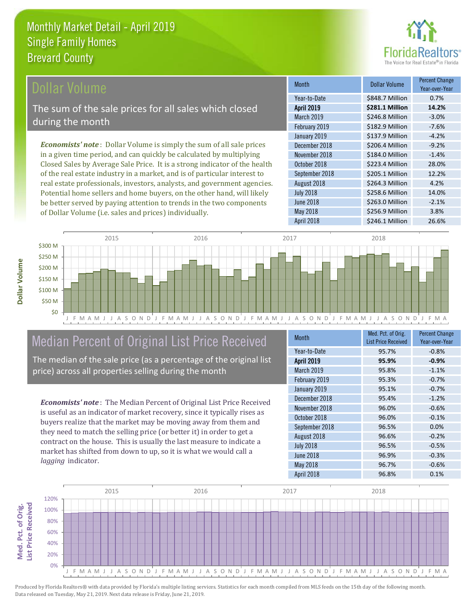

### **Ollar Volume**

The sum of the sale prices for all sales which closed during the month

*Economists' note* : Dollar Volume is simply the sum of all sale prices in a given time period, and can quickly be calculated by multiplying Closed Sales by Average Sale Price. It is a strong indicator of the health of the real estate industry in a market, and is of particular interest to real estate professionals, investors, analysts, and government agencies. Potential home sellers and home buyers, on the other hand, will likely be better served by paying attention to trends in the two components of Dollar Volume (i.e. sales and prices) individually.

| Month             | Dollar Volume   | <b>Percent Change</b><br>Year-over-Year |
|-------------------|-----------------|-----------------------------------------|
| Year-to-Date      | \$848.7 Million | 0.7%                                    |
| <b>April 2019</b> | \$281.1 Million | 14.2%                                   |
| March 2019        | \$246.8 Million | $-3.0%$                                 |
| February 2019     | \$182.9 Million | $-7.6%$                                 |
| January 2019      | \$137.9 Million | $-4.2%$                                 |
| December 2018     | \$206.4 Million | $-9.2%$                                 |
| November 2018     | \$184.0 Million | $-1.4%$                                 |
| October 2018      | \$223.4 Million | 28.0%                                   |
| September 2018    | \$205.1 Million | 12.2%                                   |
| August 2018       | \$264.3 Million | 4.2%                                    |
| <b>July 2018</b>  | \$258.6 Million | 14.0%                                   |
| <b>June 2018</b>  | \$263.0 Million | $-2.1%$                                 |
| May 2018          | \$256.9 Million | 3.8%                                    |
| <b>April 2018</b> | \$246.1 Million | 26.6%                                   |



# Median Percent of Original List Price Received

The median of the sale price (as a percentage of the original list price) across all properties selling during the month

*Economists' note* : The Median Percent of Original List Price Received is useful as an indicator of market recovery, since it typically rises as buyers realize that the market may be moving away from them and they need to match the selling price (or better it) in order to get a contract on the house. This is usually the last measure to indicate a market has shifted from down to up, so it is what we would call a *lagging* indicator.

| <b>Month</b>      | Med. Pct. of Orig.<br><b>List Price Received</b> | <b>Percent Change</b><br>Year-over-Year |
|-------------------|--------------------------------------------------|-----------------------------------------|
| Year-to-Date      | 95.7%                                            | $-0.8%$                                 |
| <b>April 2019</b> | 95.9%                                            | $-0.9%$                                 |
| <b>March 2019</b> | 95.8%                                            | $-1.1%$                                 |
| February 2019     | 95.3%                                            | $-0.7%$                                 |
| January 2019      | 95.1%                                            | $-0.7%$                                 |
| December 2018     | 95.4%                                            | $-1.2%$                                 |
| November 2018     | 96.0%                                            | $-0.6%$                                 |
| October 2018      | 96.0%                                            | $-0.1%$                                 |
| September 2018    | 96.5%                                            | 0.0%                                    |
| August 2018       | 96.6%                                            | $-0.2%$                                 |
| <b>July 2018</b>  | 96.5%                                            | $-0.5%$                                 |
| <b>June 2018</b>  | 96.9%                                            | $-0.3%$                                 |
| May 2018          | 96.7%                                            | $-0.6%$                                 |
| April 2018        | 96.8%                                            | 0.1%                                    |



Produced by Florida Realtors® with data provided by Florida's multiple listing services. Statistics for each month compiled from MLS feeds on the 15th day of the following month. Data released on Tuesday, May 21, 2019. Next data release is Friday, June 21, 2019.

Med. Pct. of Orig.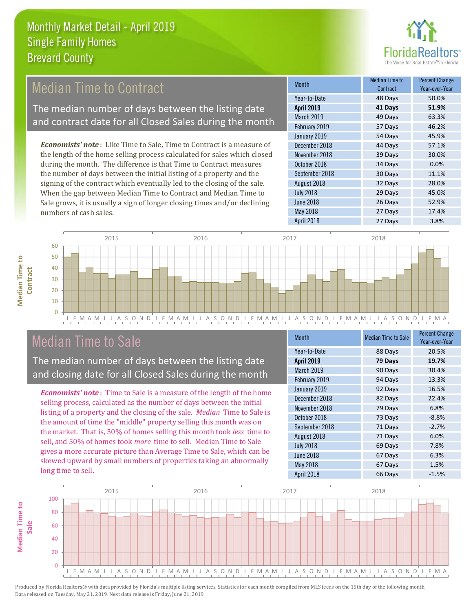

# Median Time to Contract

The median number of days between the listing date and contract date for all Closed Sales during the month

*Economists' note* : Like Time to Sale, Time to Contract is a measure of the length of the home selling process calculated for sales which closed during the month. The difference is that Time to Contract measures the number of days between the initial listing of a property and the signing of the contract which eventually led to the closing of the sale. When the gap between Median Time to Contract and Median Time to Sale grows, it is usually a sign of longer closing times and/or declining numbers of cash sales.

| <b>Month</b>      | <b>Median Time to</b><br>Contract | <b>Percent Change</b><br>Year-over-Year |
|-------------------|-----------------------------------|-----------------------------------------|
| Year-to-Date      | 48 Days                           | 50.0%                                   |
| <b>April 2019</b> | 41 Days                           | 51.9%                                   |
| March 2019        | 49 Days                           | 63.3%                                   |
| February 2019     | 57 Days                           | 46.2%                                   |
| January 2019      | 54 Days                           | 45.9%                                   |
| December 2018     | 44 Days                           | 57.1%                                   |
| November 2018     | 39 Days                           | 30.0%                                   |
| October 2018      | 34 Days                           | 0.0%                                    |
| September 2018    | 30 Days                           | 11.1%                                   |
| August 2018       | 32 Days                           | 28.0%                                   |
| <b>July 2018</b>  | 29 Days                           | 45.0%                                   |
| <b>June 2018</b>  | 26 Days                           | 52.9%                                   |
| May 2018          | 27 Days                           | 17.4%                                   |
| April 2018        | 27 Days                           | 3.8%                                    |



# Median Time to Sale

**Median Time to** 

**Median Time to** 

The median number of days between the listing date and closing date for all Closed Sales during the month

*Economists' note* : Time to Sale is a measure of the length of the home selling process, calculated as the number of days between the initial listing of a property and the closing of the sale. *Median* Time to Sale is the amount of time the "middle" property selling this month was on the market. That is, 50% of homes selling this month took *less* time to sell, and 50% of homes took *more* time to sell. Median Time to Sale gives a more accurate picture than Average Time to Sale, which can be skewed upward by small numbers of properties taking an abnormally long time to sell.

| <b>Month</b>      | <b>Median Time to Sale</b> | <b>Percent Change</b><br>Year-over-Year |
|-------------------|----------------------------|-----------------------------------------|
| Year-to-Date      | 88 Days                    | 20.5%                                   |
| <b>April 2019</b> | 79 Days                    | 19.7%                                   |
| March 2019        | 90 Days                    | 30.4%                                   |
| February 2019     | 94 Days                    | 13.3%                                   |
| January 2019      | 92 Days                    | 16.5%                                   |
| December 2018     | 82 Days                    | 22.4%                                   |
| November 2018     | 79 Days                    | 6.8%                                    |
| October 2018      | 73 Days                    | $-8.8%$                                 |
| September 2018    | 71 Days                    | $-2.7%$                                 |
| August 2018       | 71 Days                    | 6.0%                                    |
| <b>July 2018</b>  | 69 Days                    | 7.8%                                    |
| <b>June 2018</b>  | 67 Days                    | 6.3%                                    |
| May 2018          | 67 Days                    | 1.5%                                    |
| April 2018        | 66 Days                    | $-1.5%$                                 |

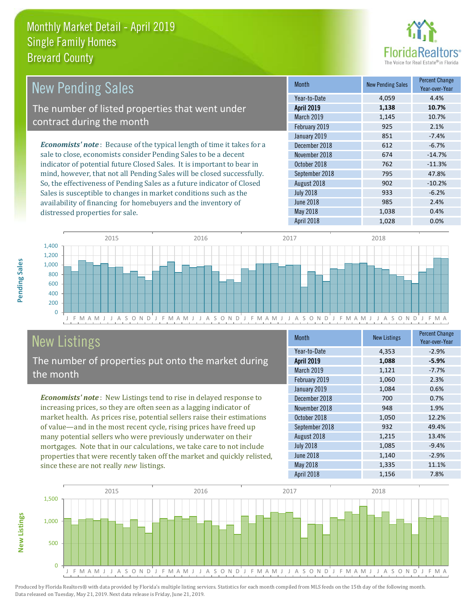

| New Pending Sales                                                             | <b>Month</b>      | <b>New Pending Sales</b> | <b>Percent Change</b><br>Year-over-Year |
|-------------------------------------------------------------------------------|-------------------|--------------------------|-----------------------------------------|
|                                                                               | Year-to-Date      | 4,059                    | 4.4%                                    |
| The number of listed properties that went under                               | <b>April 2019</b> | 1,138                    | 10.7%                                   |
| contract during the month                                                     | <b>March 2019</b> | 1.145                    | 10.7%                                   |
|                                                                               | February 2019     | 925                      | 2.1%                                    |
|                                                                               | January 2019      | 851                      | $-7.4%$                                 |
| <b>Economists' note:</b> Because of the typical length of time it takes for a | December 2018     | 612                      | $-6.7%$                                 |
| sale to close, economists consider Pending Sales to be a decent               | November 2018     | 674                      | $-14.7%$                                |
| indicator of potential future Closed Sales. It is important to bear in        | October 2018      | 762                      | $-11.3%$                                |
| mind, however, that not all Pending Sales will be closed successfully.        | September 2018    | 795                      | 47.8%                                   |
| So, the effectiveness of Pending Sales as a future indicator of Closed        | August 2018       | 902                      | $-10.2%$                                |
| Sales is susceptible to changes in market conditions such as the              | <b>July 2018</b>  | 933                      | $-6.2%$                                 |



# New Listings

distressed properties for sale.

The number of properties put onto the market during the month

availability of financing for homebuyers and the inventory of

*Economists' note* : New Listings tend to rise in delayed response to increasing prices, so they are often seen as a lagging indicator of market health. As prices rise, potential sellers raise their estimations of value—and in the most recent cycle, rising prices have freed up many potential sellers who were previously underwater on their mortgages. Note that in our calculations, we take care to not include properties that were recently taken off the market and quickly relisted, since these are not really *new* listings.

| <b>Month</b>     | <b>New Listings</b> | <b>Percent Change</b><br>Year-over-Year |
|------------------|---------------------|-----------------------------------------|
| Year-to-Date     | 4,353               | $-2.9%$                                 |
| April 2019       | 1,088               | $-5.9%$                                 |
| March 2019       | 1,121               | $-7.7%$                                 |
| February 2019    | 1,060               | 2.3%                                    |
| January 2019     | 1,084               | 0.6%                                    |
| December 2018    | 700                 | 0.7%                                    |
| November 2018    | 948                 | 1.9%                                    |
| October 2018     | 1,050               | 12.2%                                   |
| September 2018   | 932                 | 49.4%                                   |
| August 2018      | 1,215               | 13.4%                                   |
| <b>July 2018</b> | 1,085               | $-9.4%$                                 |
| <b>June 2018</b> | 1,140               | $-2.9%$                                 |
| May 2018         | 1,335               | 11.1%                                   |
| April 2018       | 1,156               | 7.8%                                    |

June 2018 **2.4% 985** 2.4% May 2018 1,038 0.4%



Produced by Florida Realtors® with data provided by Florida's multiple listing services. Statistics for each month compiled from MLS feeds on the 15th day of the following month. Data released on Tuesday, May 21, 2019. Next data release is Friday, June 21, 2019.

**New Listings**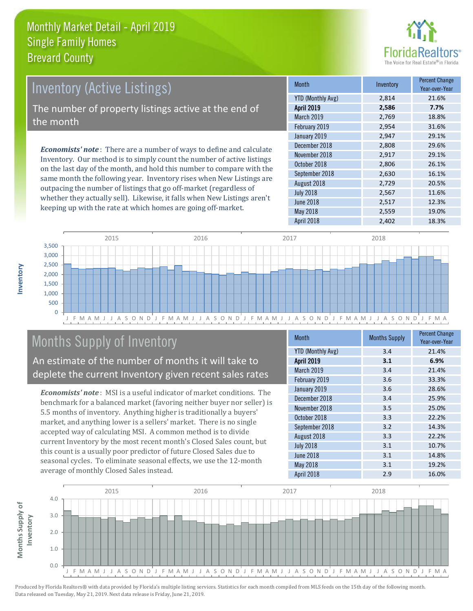

# *Economists' note* : There are a number of ways to define and calculate Inventory. Our method is to simply count the number of active listings Inventory (Active Listings) The number of property listings active at the end of the month

on the last day of the month, and hold this number to compare with the same month the following year. Inventory rises when New Listings are outpacing the number of listings that go off-market (regardless of whether they actually sell). Likewise, it falls when New Listings aren't keeping up with the rate at which homes are going off-market.

|  | <b>Month</b>             | Inventory | <b>Percent Change</b><br>Year-over-Year |
|--|--------------------------|-----------|-----------------------------------------|
|  | <b>YTD (Monthly Avg)</b> | 2,814     | 21.6%                                   |
|  | <b>April 2019</b>        | 2,586     | 7.7%                                    |
|  | <b>March 2019</b>        | 2,769     | 18.8%                                   |
|  | February 2019            | 2,954     | 31.6%                                   |
|  | January 2019             | 2,947     | 29.1%                                   |
|  | December 2018            | 2,808     | 29.6%                                   |
|  | November 2018            | 2,917     | 29.1%                                   |
|  | October 2018             | 2,806     | 26.1%                                   |
|  | September 2018           | 2,630     | 16.1%                                   |
|  | August 2018              | 2,729     | 20.5%                                   |
|  | <b>July 2018</b>         | 2,567     | 11.6%                                   |
|  | <b>June 2018</b>         | 2,517     | 12.3%                                   |
|  | May 2018                 | 2,559     | 19.0%                                   |
|  | <b>April 2018</b>        | 2,402     | 18.3%                                   |



# Months Supply of Inventory

An estimate of the number of months it will take to deplete the current Inventory given recent sales rates

*Economists' note* : MSI is a useful indicator of market conditions. The benchmark for a balanced market (favoring neither buyer nor seller) is 5.5 months of inventory. Anything higher is traditionally a buyers' market, and anything lower is a sellers' market. There is no single accepted way of calculating MSI. A common method is to divide current Inventory by the most recent month's Closed Sales count, but this count is a usually poor predictor of future Closed Sales due to seasonal cycles. To eliminate seasonal effects, we use the 12-month average of monthly Closed Sales instead.

| <b>Month</b>             | <b>Months Supply</b> | <b>Percent Change</b><br>Year-over-Year |
|--------------------------|----------------------|-----------------------------------------|
| <b>YTD (Monthly Avg)</b> | 3.4                  | 21.4%                                   |
| <b>April 2019</b>        | 3.1                  | 6.9%                                    |
| March 2019               | 3.4                  | 21.4%                                   |
| February 2019            | 3.6                  | 33.3%                                   |
| January 2019             | 3.6                  | 28.6%                                   |
| December 2018            | 3.4                  | 25.9%                                   |
| November 2018            | 3.5                  | 25.0%                                   |
| October 2018             | 3.3                  | 22.2%                                   |
| September 2018           | 3.2                  | 14.3%                                   |
| August 2018              | 3.3                  | 22.2%                                   |
| <b>July 2018</b>         | 3.1                  | 10.7%                                   |
| <b>June 2018</b>         | 3.1                  | 14.8%                                   |
| May 2018                 | 3.1                  | 19.2%                                   |
| <b>April 2018</b>        | 2.9                  | 16.0%                                   |

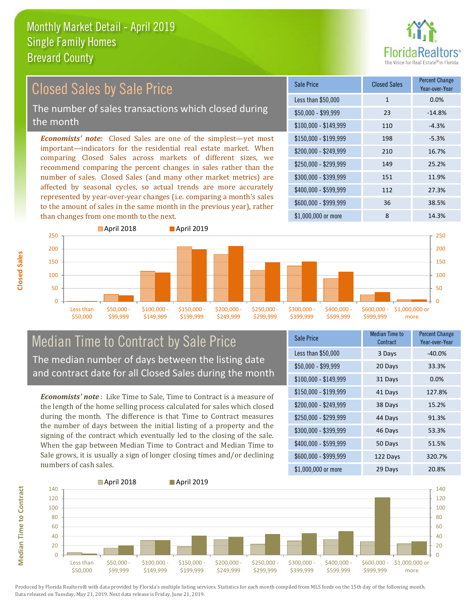

#### *Economists' note:* Closed Sales are one of the simplest—yet most important—indicators for the residential real estate market. When comparing Closed Sales across markets of different sizes, we recommend comparing the percent changes in sales rather than the number of sales. Closed Sales (and many other market metrics) are affected by seasonal cycles, so actual trends are more accurately represented by year-over-year changes (i.e. comparing a month's sales to the amount of sales in the same month in the previous year), rather than changes from one month to the next. \$1,000,000 or more 8 14.3% \$250,000 - \$299,999 149 25.2% \$300,000 - \$399,999 151 11.9% \$400,000 - \$599,999 112 27.3% \$600,000 - \$999,999 36 38.5% \$150,000 - \$199,999 198 -5.3% \$200,000 - \$249,999 210 16.7%  $$100,000 - $149,999$  110  $-4.3\%$ Sale Price Closed Sales Percent Change Year-over-Year Less than \$50,000 1 1 0.0% \$50,000 - \$99,999 23 -14.8% Closed Sales by Sale Price The number of sales transactions which closed during the month



#### Median Time to Contract by Sale Price The median number of days between the listing date and contract date for all Closed Sales during the month

*Economists' note* : Like Time to Sale, Time to Contract is a measure of the length of the home selling process calculated for sales which closed during the month. The difference is that Time to Contract measures the number of days between the initial listing of a property and the signing of the contract which eventually led to the closing of the sale. When the gap between Median Time to Contract and Median Time to Sale grows, it is usually a sign of longer closing times and/or declining numbers of cash sales.

| <b>Sale Price</b>     | Median Time to<br>Contract | <b>Percent Change</b><br>Year-over-Year |
|-----------------------|----------------------------|-----------------------------------------|
| Less than \$50,000    | 3 Days                     | $-40.0%$                                |
| $$50,000 - $99,999$   | 20 Days                    | 33.3%                                   |
| $$100,000 - $149,999$ | 31 Days                    | 0.0%                                    |
| $$150,000 - $199,999$ | 41 Days                    | 127.8%                                  |
| \$200,000 - \$249,999 | 38 Days                    | 15.2%                                   |
| \$250,000 - \$299,999 | 44 Days                    | 91.3%                                   |
| \$300,000 - \$399,999 | 46 Days                    | 53.3%                                   |
| \$400,000 - \$599,999 | 50 Days                    | 51.5%                                   |
| \$600,000 - \$999,999 | 122 Days                   | 320.7%                                  |
| \$1,000,000 or more   | 29 Days                    | 20.8%                                   |



**Closed Sales**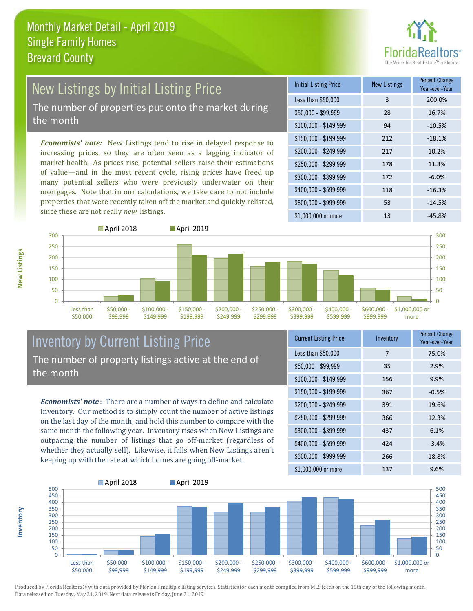

# New Listings by Initial Listing Price

The number of properties put onto the market during the month

*Economists' note:* New Listings tend to rise in delayed response to increasing prices, so they are often seen as a lagging indicator of market health. As prices rise, potential sellers raise their estimations of value—and in the most recent cycle, rising prices have freed up many potential sellers who were previously underwater on their mortgages. Note that in our calculations, we take care to not include properties that were recently taken off the market and quickly relisted, since these are not really *new* listings.

| <b>Initial Listing Price</b> | <b>New Listings</b> | <b>Percent Change</b><br>Year-over-Year |
|------------------------------|---------------------|-----------------------------------------|
| Less than \$50,000           | 3                   | 200.0%                                  |
| $$50,000 - $99,999$          | 28                  | 16.7%                                   |
| $$100,000 - $149,999$        | 94                  | $-10.5%$                                |
| $$150,000 - $199,999$        | 212                 | $-18.1%$                                |
| \$200,000 - \$249,999        | 217                 | 10.2%                                   |
| $$250,000 - $299,999$        | 178                 | 11.3%                                   |
| \$300,000 - \$399,999        | 172                 | $-6.0%$                                 |
| \$400,000 - \$599,999        | 118                 | $-16.3%$                                |
| \$600,000 - \$999,999        | 53                  | $-14.5%$                                |
| \$1,000,000 or more          | 13                  | $-45.8%$                                |



#### Inventory by Current Listing Price The number of property listings active at the end of the month

*Economists' note* : There are a number of ways to define and calculate Inventory. Our method is to simply count the number of active listings on the last day of the month, and hold this number to compare with the same month the following year. Inventory rises when New Listings are outpacing the number of listings that go off-market (regardless of whether they actually sell). Likewise, it falls when New Listings aren't keeping up with the rate at which homes are going off-market.

| <b>Current Listing Price</b> | Inventory | <b>Percent Change</b><br>Year-over-Year |
|------------------------------|-----------|-----------------------------------------|
| Less than \$50,000           | 7         | 75.0%                                   |
| $$50,000 - $99,999$          | 35        | 2.9%                                    |
| $$100,000 - $149,999$        | 156       | 9.9%                                    |
| $$150,000 - $199,999$        | 367       | $-0.5%$                                 |
| \$200,000 - \$249,999        | 391       | 19.6%                                   |
| \$250,000 - \$299,999        | 366       | 12.3%                                   |
| \$300,000 - \$399,999        | 437       | 6.1%                                    |
| \$400,000 - \$599,999        | 424       | $-3.4%$                                 |
| \$600,000 - \$999,999        | 266       | 18.8%                                   |
| \$1,000,000 or more          | 137       | 9.6%                                    |



Produced by Florida Realtors® with data provided by Florida's multiple listing services. Statistics for each month compiled from MLS feeds on the 15th day of the following month. Data released on Tuesday, May 21, 2019. Next data release is Friday, June 21, 2019.

**Inventory**